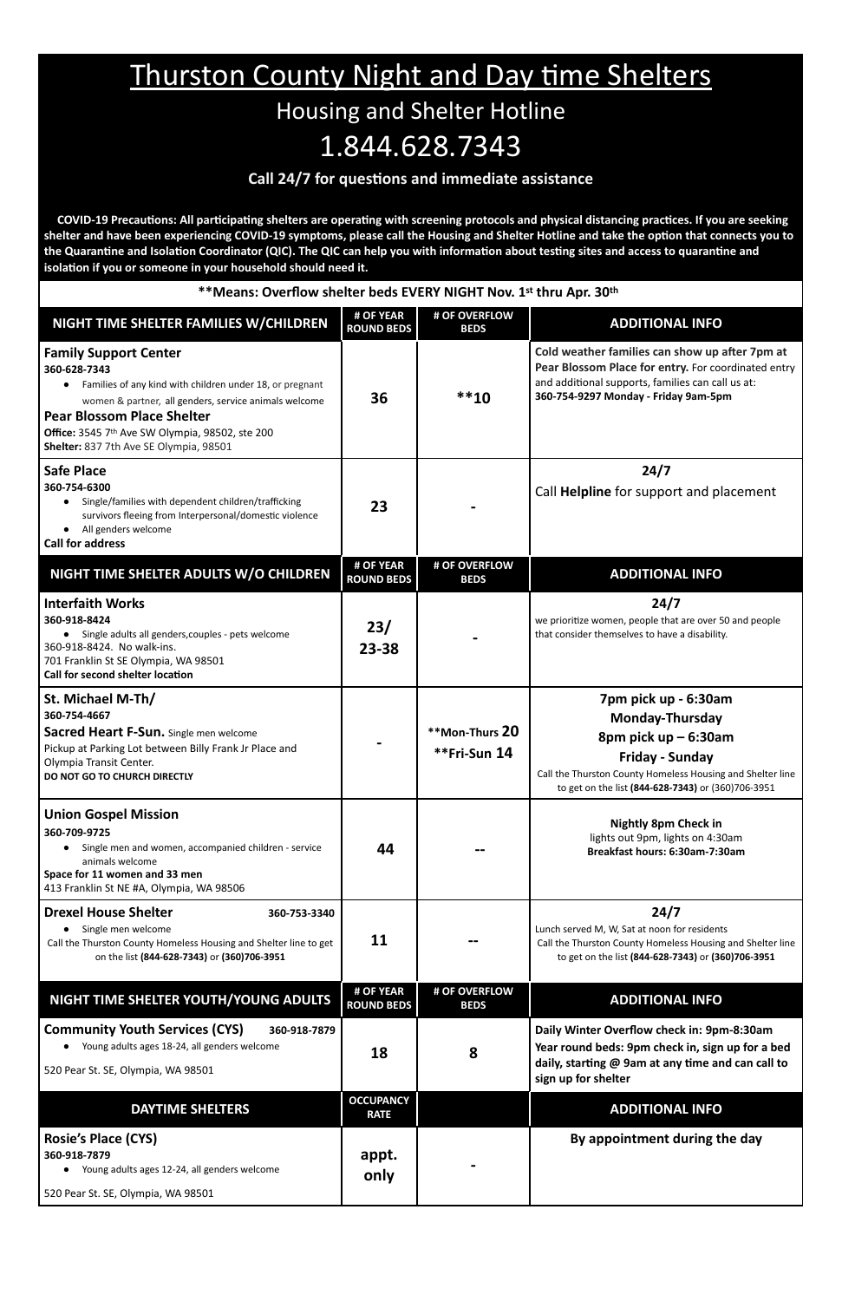## Thurston County Night and Day time Shelters

## Housing and Shelter Hotline 1.844.628.7343

## **Call 24/7 for questions and immediate assistance**

 **COVID-19 Precautions: All participating shelters are operating with screening protocols and physical distancing practices. If you are seeking shelter and have been experiencing COVID-19 symptoms, please call the Housing and Shelter Hotline and take the option that connects you to the Quarantine and Isolation Coordinator (QIC). The QIC can help you with information about testing sites and access to quarantine and isolation if you or someone in your household should need it.**

| **Means: Overflow shelter beds EVERY NIGHT Nov. 1st thru Apr. 30th                                                                                                                                                                                                                                               |                                 |                                |                                                                                                                                                                                                               |  |
|------------------------------------------------------------------------------------------------------------------------------------------------------------------------------------------------------------------------------------------------------------------------------------------------------------------|---------------------------------|--------------------------------|---------------------------------------------------------------------------------------------------------------------------------------------------------------------------------------------------------------|--|
| NIGHT TIME SHELTER FAMILIES W/CHILDREN                                                                                                                                                                                                                                                                           | # OF YEAR<br><b>ROUND BEDS</b>  | # OF OVERFLOW<br><b>BEDS</b>   | <b>ADDITIONAL INFO</b>                                                                                                                                                                                        |  |
| <b>Family Support Center</b><br>360-628-7343<br>Families of any kind with children under 18, or pregnant<br>$\bullet$<br>women & partner, all genders, service animals welcome<br><b>Pear Blossom Place Shelter</b><br>Office: 3545 7th Ave SW Olympia, 98502, ste 200<br>Shelter: 837 7th Ave SE Olympia, 98501 | 36                              | $***10$                        | Cold weather families can show up after 7pm at<br>Pear Blossom Place for entry. For coordinated entry<br>and additional supports, families can call us at:<br>360-754-9297 Monday - Friday 9am-5pm            |  |
| <b>Safe Place</b><br>360-754-6300<br>Single/families with dependent children/trafficking<br>$\bullet$<br>survivors fleeing from Interpersonal/domestic violence<br>All genders welcome<br><b>Call for address</b>                                                                                                | 23                              |                                | 24/7<br>Call Helpline for support and placement                                                                                                                                                               |  |
| NIGHT TIME SHELTER ADULTS W/O CHILDREN                                                                                                                                                                                                                                                                           | # OF YEAR<br><b>ROUND BEDS</b>  | # OF OVERFLOW<br><b>BEDS</b>   | <b>ADDITIONAL INFO</b>                                                                                                                                                                                        |  |
| <b>Interfaith Works</b><br>360-918-8424<br>• Single adults all genders, couples - pets welcome<br>360-918-8424. No walk-ins.<br>701 Franklin St SE Olympia, WA 98501<br>Call for second shelter location                                                                                                         | 23/<br>23-38                    |                                | 24/7<br>we prioritize women, people that are over 50 and people<br>that consider themselves to have a disability.                                                                                             |  |
| St. Michael M-Th/<br>360-754-4667<br><b>Sacred Heart F-Sun.</b> Single men welcome<br>Pickup at Parking Lot between Billy Frank Jr Place and<br>Olympia Transit Center.<br>DO NOT GO TO CHURCH DIRECTLY                                                                                                          |                                 | **Mon-Thurs 20<br>**Fri-Sun 14 | 7pm pick up - 6:30am<br><b>Monday-Thursday</b><br>8pm pick $up-6:30am$<br>Friday - Sunday<br>Call the Thurston County Homeless Housing and Shelter line<br>to get on the list (844-628-7343) or (360)706-3951 |  |
| <b>Union Gospel Mission</b><br>360-709-9725<br>Single men and women, accompanied children - service<br>animals welcome<br>Space for 11 women and 33 men<br>413 Franklin St NE #A, Olympia, WA 98506                                                                                                              | 44                              |                                | <b>Nightly 8pm Check in</b><br>lights out 9pm, lights on 4:30am<br>Breakfast hours: 6:30am-7:30am                                                                                                             |  |
| <b>Drexel House Shelter</b><br>360-753-3340<br>Single men welcome<br>Call the Thurston County Homeless Housing and Shelter line to get<br>on the list (844-628-7343) or (360)706-3951                                                                                                                            | 11                              |                                | 24/7<br>Lunch served M, W, Sat at noon for residents<br>Call the Thurston County Homeless Housing and Shelter line<br>to get on the list (844-628-7343) or (360)706-3951                                      |  |
| NIGHT TIME SHELTER YOUTH/YOUNG ADULTS                                                                                                                                                                                                                                                                            | # OF YEAR<br><b>ROUND BEDS</b>  | # OF OVERFLOW<br><b>BEDS</b>   | <b>ADDITIONAL INFO</b>                                                                                                                                                                                        |  |
| <b>Community Youth Services (CYS)</b><br>360-918-7879<br>Young adults ages 18-24, all genders welcome<br>520 Pear St. SE, Olympia, WA 98501                                                                                                                                                                      | 18                              | 8                              | Daily Winter Overflow check in: 9pm-8:30am<br>Year round beds: 9pm check in, sign up for a bed<br>daily, starting @ 9am at any time and can call to<br>sign up for shelter                                    |  |
| <b>DAYTIME SHELTERS</b>                                                                                                                                                                                                                                                                                          | <b>OCCUPANCY</b><br><b>RATE</b> |                                | <b>ADDITIONAL INFO</b>                                                                                                                                                                                        |  |
| <b>Rosie's Place (CYS)</b><br>360-918-7879<br>Young adults ages 12-24, all genders welcome<br>$\bullet$<br>520 Pear St. SE, Olympia, WA 98501                                                                                                                                                                    | appt.<br>only                   |                                | By appointment during the day                                                                                                                                                                                 |  |